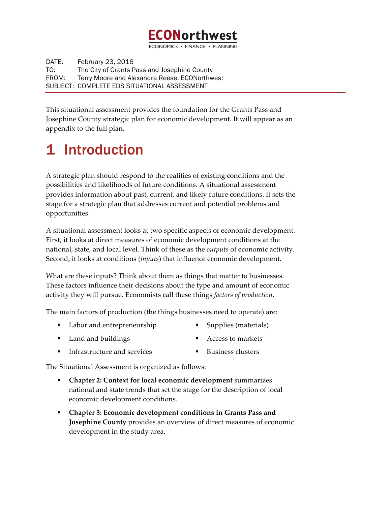# **ECONorthwest**

ECONOMICS · FINANCE

DATE: February 23, 2016 TO: The City of Grants Pass and Josephine County FROM: Terry Moore and Alexandra Reese, ECONorthwest SUBJECT: COMPLETE EDS SITUATIONAL ASSESSMENT

This situational assessment provides the foundation for the Grants Pass and Josephine County strategic plan for economic development. It will appear as an appendix to the full plan.

# **Introduction**

A strategic plan should respond to the realities of existing conditions and the possibilities and likelihoods of future conditions. A situational assessment provides information about past, current, and likely future conditions. It sets the stage for a strategic plan that addresses current and potential problems and opportunities.

A situational assessment looks at two specific aspects of economic development. First, it looks at direct measures of economic development conditions at the national, state, and local level. Think of these as the *outputs* of economic activity. Second, it looks at conditions (*inputs*) that influence economic development.

What are these inputs? Think about them as things that matter to businesses. These factors influence their decisions about the type and amount of economic activity they will pursue. Economists call these things *factors of production*.

The main factors of production (the things businesses need to operate) are:

- Labor and entrepreneurship
- Land and buildings
- Infrastructure and services

The Situational Assessment is organized as follows:

- § **Chapter 2: Context for local economic development** summarizes national and state trends that set the stage for the description of local economic development conditions.
- § **Chapter 3: Economic development conditions in Grants Pass and Josephine County** provides an overview of direct measures of economic development in the study area.

§ Access to markets

§ Supplies (materials)

■ Business clusters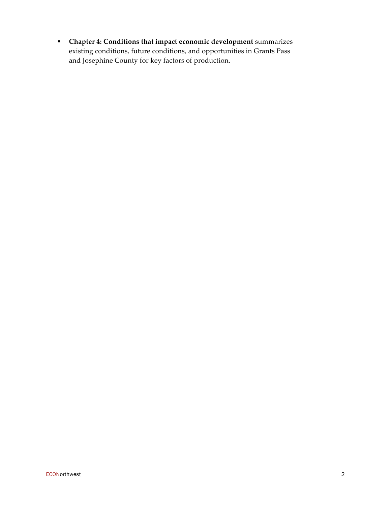§ **Chapter 4: Conditions that impact economic development** summarizes existing conditions, future conditions, and opportunities in Grants Pass and Josephine County for key factors of production.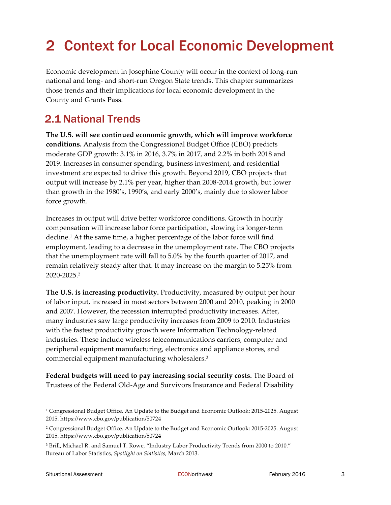# 2 Context for Local Economic Development

Economic development in Josephine County will occur in the context of long-run national and long- and short-run Oregon State trends. This chapter summarizes those trends and their implications for local economic development in the County and Grants Pass.

## 2.1 National Trends

**The U.S. will see continued economic growth, which will improve workforce conditions.** Analysis from the Congressional Budget Office (CBO) predicts moderate GDP growth: 3.1% in 2016, 3.7% in 2017, and 2.2% in both 2018 and 2019. Increases in consumer spending, business investment, and residential investment are expected to drive this growth. Beyond 2019, CBO projects that output will increase by 2.1% per year, higher than 2008-2014 growth, but lower than growth in the 1980's, 1990's, and early 2000's, mainly due to slower labor force growth.

Increases in output will drive better workforce conditions. Growth in hourly compensation will increase labor force participation, slowing its longer-term decline.1 At the same time, a higher percentage of the labor force will find employment, leading to a decrease in the unemployment rate. The CBO projects that the unemployment rate will fall to 5.0% by the fourth quarter of 2017, and remain relatively steady after that. It may increase on the margin to 5.25% from 2020-2025.2

**The U.S. is increasing productivity.** Productivity, measured by output per hour of labor input, increased in most sectors between 2000 and 2010, peaking in 2000 and 2007. However, the recession interrupted productivity increases. After, many industries saw large productivity increases from 2009 to 2010. Industries with the fastest productivity growth were Information Technology-related industries. These include wireless telecommunications carriers, computer and peripheral equipment manufacturing, electronics and appliance stores, and commercial equipment manufacturing wholesalers.3

**Federal budgets will need to pay increasing social security costs.** The Board of Trustees of the Federal Old-Age and Survivors Insurance and Federal Disability

<sup>&</sup>lt;sup>1</sup> Congressional Budget Office. An Update to the Budget and Economic Outlook: 2015-2025. August 2015. https://www.cbo.gov/publication/50724

<sup>&</sup>lt;sup>2</sup> Congressional Budget Office. An Update to the Budget and Economic Outlook: 2015-2025. August 2015. https://www.cbo.gov/publication/50724

<sup>3</sup> Brill, Michael R. and Samuel T. Rowe, "Industry Labor Productivity Trends from 2000 to 2010." Bureau of Labor Statistics, *Spotlight on Statistics,* March 2013.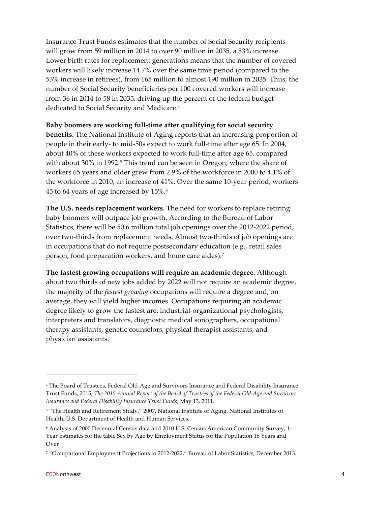Insurance Trust Funds estimates that the number of Social Security recipients will grow from 59 million in 2014 to over 90 million in 2035, a 53% increase. Lower birth rates for replacement generations means that the number of covered workers will likely increase 14.7% over the same time period (compared to the 53% increase in retirees), from 165 million to almost 190 million in 2035. Thus, the number of Social Security beneficiaries per 100 covered workers will increase from 36 in 2014 to 58 in 2035, driving up the percent of the federal budget dedicated to Social Security and Medicare.<sup>4</sup>

#### **Baby boomers are working full-time after qualifying for social security**

**benefits.** The National Institute of Aging reports that an increasing proportion of people in their early- to mid-50s expect to work full-time after age 65. In 2004, about 40% of these workers expected to work full-time after age 65, compared with about 30% in 1992.<sup>5</sup> This trend can be seen in Oregon, where the share of workers 65 years and older grew from 2.9% of the workforce in 2000 to 4.1% of the workforce in 2010, an increase of 41%. Over the same 10-year period, workers 45 to 64 years of age increased by 15%.6

**The U.S. needs replacement workers.** The need for workers to replace retiring baby boomers will outpace job growth. According to the Bureau of Labor Statistics, there will be 50.6 million total job openings over the 2012-2022 period, over two-thirds from replacement needs. Almost two-thirds of job openings are in occupations that do not require postsecondary education (e.g., retail sales person, food preparation workers, and home care aides). 7

**The fastest growing occupations will require an academic degree.** Although about two thirds of new jobs added by 2022 will not require an academic degree, the majority of the *fastest growing* occupations will require a degree and, on average, they will yield higher incomes. Occupations requiring an academic degree likely to grow the fastest are: industrial-organizational psychologists, interpreters and translators, diagnostic medical sonographers, occupational therapy assistants, genetic counselors, physical therapist assistants, and physician assistants.

<sup>4</sup> The Board of Trustees, Federal Old-Age and Survivors Insurance and Federal Disability Insurance Trust Funds, 2015, *The 2015 Annual Report of the Board of Trustees of the Federal Old-Age and Survivors Insurance and Federal Disability Insurance Trust Funds*, May 13, 2011.

<sup>&</sup>lt;sup>5</sup> "The Health and Retirement Study," 2007, National Institute of Aging, National Institutes of Health, U.S. Department of Health and Human Services.

<sup>6</sup> Analysis of 2000 Decennial Census data and 2010 U.S. Census American Community Survey, 1- Year Estimates for the table Sex by Age by Employment Status for the Population 16 Years and Over

<sup>7</sup> "Occupational Employment Projections to 2012-2022," Bureau of Labor Statistics, December 2013.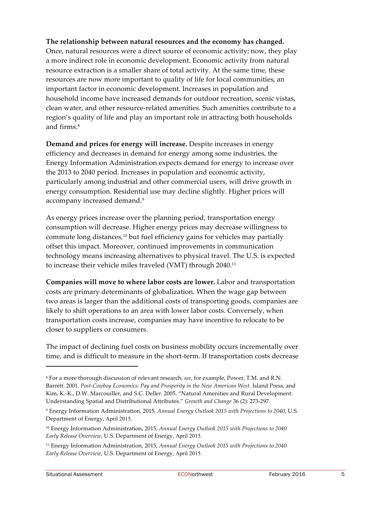### **The relationship between natural resources and the economy has changed.** Once, natural resources were a direct source of economic activity; now, they play

a more indirect role in economic development. Economic activity from natural resource extraction is a smaller share of total activity. At the same time, these resources are now more important to quality of life for local communities, an important factor in economic development. Increases in population and household income have increased demands for outdoor recreation, scenic vistas, clean water, and other resource-related amenities. Such amenities contribute to a region's quality of life and play an important role in attracting both households and firms.<sup>8</sup>

**Demand and prices for energy will increase.** Despite increases in energy efficiency and decreases in demand for energy among some industries, the Energy Information Administration expects demand for energy to increase over the 2013 to 2040 period. Increases in population and economic activity, particularly among industrial and other commercial users, will drive growth in energy consumption. Residential use may decline slightly. Higher prices will accompany increased demand.<sup>9</sup>

As energy prices increase over the planning period, transportation energy consumption will decrease. Higher energy prices may decrease willingness to commute long distances,<sup>10</sup> but fuel efficiency gains for vehicles may partially offset this impact. Moreover, continued improvements in communication technology means increasing alternatives to physical travel. The U.S. is expected to increase their vehicle miles traveled (VMT) through 2040.11

**Companies will move to where labor costs are lower.** Labor and transportation costs are primary determinants of globalization. When the wage gap between two areas is larger than the additional costs of transporting goods, companies are likely to shift operations to an area with lower labor costs. Conversely, when transportation costs increase, companies may have incentive to relocate to be closer to suppliers or consumers.

The impact of declining fuel costs on business mobility occurs incrementally over time, and is difficult to measure in the short-term. If transportation costs decrease

<sup>8</sup> For a more thorough discussion of relevant research, *see,* for example, Power, T.M. and R.N. Barrett. 2001. *Post-Cowboy Economics: Pay and Prosperity in the New American West*. Island Press, and Kim, K.-K., D.W. Marcouiller, and S.C. Deller. 2005. "Natural Amenities and Rural Development: Understanding Spatial and Distributional Attributes." *Growth and Change* 36 (2): 273-297.

<sup>9</sup> Energy Information Administration, 2015, *Annual Energy Outlook 2015 with Projections to 2040*, U.S. Department of Energy, April 2015.

<sup>10</sup> Energy Information Administration, 2015, *Annual Energy Outlook 2015 with Projections to 2040 Early Release Overview*, U.S. Department of Energy, April 2015.

<sup>11</sup> Energy Information Administration, 2015, *Annual Energy Outlook 2015 with Projections to 2040 Early Release Overview*, U.S. Department of Energy, April 2015.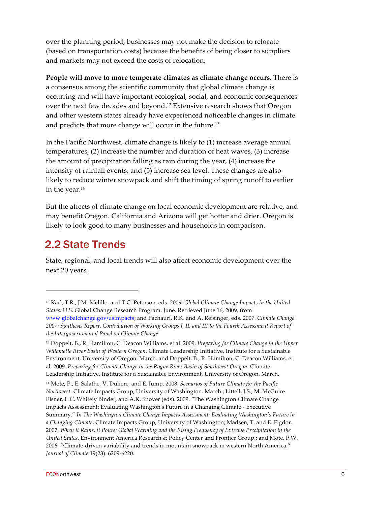over the planning period, businesses may not make the decision to relocate (based on transportation costs) because the benefits of being closer to suppliers and markets may not exceed the costs of relocation.

**People will move to more temperate climates as climate change occurs.** There is a consensus among the scientific community that global climate change is occurring and will have important ecological, social, and economic consequences over the next few decades and beyond.12 Extensive research shows that Oregon and other western states already have experienced noticeable changes in climate and predicts that more change will occur in the future.13

In the Pacific Northwest, climate change is likely to (1) increase average annual temperatures, (2) increase the number and duration of heat waves, (3) increase the amount of precipitation falling as rain during the year, (4) increase the intensity of rainfall events, and (5) increase sea level. These changes are also likely to reduce winter snowpack and shift the timing of spring runoff to earlier in the year.<sup>14</sup>

But the affects of climate change on local economic development are relative, and may benefit Oregon. California and Arizona will get hotter and drier. Oregon is likely to look good to many businesses and households in comparison.

# 2.2 State Trends

 $\overline{a}$ 

State, regional, and local trends will also affect economic development over the next 20 years.

<sup>14</sup> Mote, P., E. Salathe, V. Duliere, and E. Jump. 2008. *Scenarios of Future Climate for the Pacific Northwest.* Climate Impacts Group, University of Washington. March.; Littell, J.S., M. McGuire Elsner, L.C. Whitely Binder, and A.K. Snover (eds). 2009. "The Washington Climate Change Impacts Assessment: Evaluating Washington's Future in a Changing Climate - Executive Summary." *In The Washington Climate Change Impacts Assessment: Evaluating Washington's Future in a Changing Climate*, Climate Impacts Group, University of Washington; Madsen, T. and E. Figdor. 2007. *When it Rains, it Pours: Global Warming and the Rising Frequency of Extreme Precipitation in the United States.* Environment America Research & Policy Center and Frontier Group.; and Mote, P.W. 2006. "Climate-driven variability and trends in mountain snowpack in western North America." *Journal of Climate* 19(23): 6209-6220.

<sup>12</sup> Karl, T.R., J.M. Melillo, and T.C. Peterson, eds. 2009. *Global Climate Change Impacts in the United States.* U.S. Global Change Research Program. June. Retrieved June 16, 2009, from www.globalchange.gov/usimpacts; and Pachauri, R.K. and A. Reisinger, eds. 2007. *Climate Change 2007: Synthesis Report. Contribution of Working Groups I, II, and III to the Fourth Assessment Report of the Intergovernmental Panel on Climate Change.*

<sup>13</sup> Doppelt, B., R. Hamilton, C. Deacon Williams, et al. 2009. *Preparing for Climate Change in the Upper Willamette River Basin of Western Oregon.* Climate Leadership Initiative, Institute for a Sustainable Environment, University of Oregon. March. and Doppelt, B., R. Hamilton, C. Deacon Williams, et al. 2009. *Preparing for Climate Change in the Rogue River Basin of Southwest Oregon.* Climate Leadership Initiative, Institute for a Sustainable Environment, University of Oregon. March.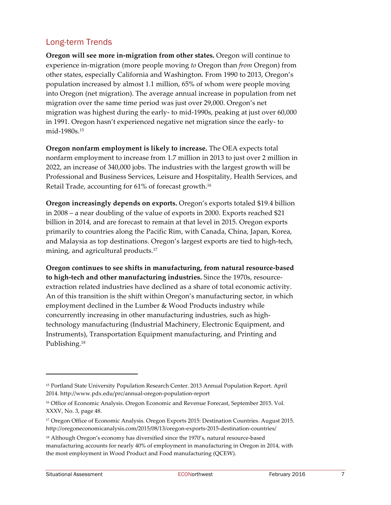### Long-term Trends

**Oregon will see more in-migration from other states.** Oregon will continue to experience in-migration (more people moving *to* Oregon than *from* Oregon) from other states, especially California and Washington. From 1990 to 2013, Oregon's population increased by almost 1.1 million, 65% of whom were people moving into Oregon (net migration). The average annual increase in population from net migration over the same time period was just over 29,000. Oregon's net migration was highest during the early- to mid-1990s, peaking at just over 60,000 in 1991. Oregon hasn't experienced negative net migration since the early- to mid-1980s.15

**Oregon nonfarm employment is likely to increase.** The OEA expects total nonfarm employment to increase from 1.7 million in 2013 to just over 2 million in 2022, an increase of 340,000 jobs. The industries with the largest growth will be Professional and Business Services, Leisure and Hospitality, Health Services, and Retail Trade, accounting for 61% of forecast growth.16

**Oregon increasingly depends on exports.** Oregon's exports totaled \$19.4 billion in 2008 – a near doubling of the value of exports in 2000. Exports reached \$21 billion in 2014, and are forecast to remain at that level in 2015. Oregon exports primarily to countries along the Pacific Rim, with Canada, China, Japan, Korea, and Malaysia as top destinations. Oregon's largest exports are tied to high-tech, mining, and agricultural products.<sup>17</sup>

**Oregon continues to see shifts in manufacturing, from natural resource-based to high-tech and other manufacturing industries.** Since the 1970s, resourceextraction related industries have declined as a share of total economic activity. An of this transition is the shift within Oregon's manufacturing sector, in which employment declined in the Lumber & Wood Products industry while concurrently increasing in other manufacturing industries, such as hightechnology manufacturing (Industrial Machinery, Electronic Equipment, and Instruments), Transportation Equipment manufacturing, and Printing and Publishing.<sup>18</sup>

<sup>15</sup> Portland State University Population Research Center. 2013 Annual Population Report. April 2014. http://www.pdx.edu/prc/annual-oregon-population-report

<sup>&</sup>lt;sup>16</sup> Office of Economic Analysis. Oregon Economic and Revenue Forecast, September 2015. Vol. XXXV, No. 3, page 48.

<sup>&</sup>lt;sup>17</sup> Oregon Office of Economic Analysis. Oregon Exports 2015: Destination Countries. August 2015. http://oregoneconomicanalysis.com/2015/08/13/oregon-exports-2015-destination-countries/

<sup>&</sup>lt;sup>18</sup> Although Oregon's economy has diversified since the 1970's, natural resource-based manufacturing accounts for nearly 40% of employment in manufacturing in Oregon in 2014, with the most employment in Wood Product and Food manufacturing (QCEW).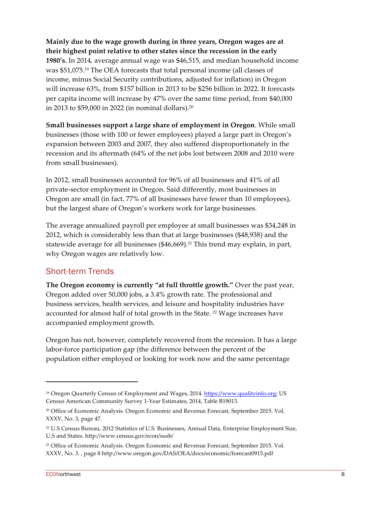**Mainly due to the wage growth during in three years, Oregon wages are at their highest point relative to other states since the recession in the early 1980's.** In 2014, average annual wage was \$46,515, and median household income was \$51,075.19 The OEA forecasts that total personal income (all classes of income, minus Social Security contributions, adjusted for inflation) in Oregon will increase 63%, from \$157 billion in 2013 to be \$256 billion in 2022. It forecasts per capita income will increase by 47% over the same time period, from \$40,000 in 2013 to \$59,000 in 2022 (in nominal dollars).20

**Small businesses support a large share of employment in Oregon**. While small businesses (those with 100 or fewer employees) played a large part in Oregon's expansion between 2003 and 2007, they also suffered disproportionately in the recession and its aftermath (64% of the net jobs lost between 2008 and 2010 were from small businesses).

In 2012, small businesses accounted for 96% of all businesses and 41% of all private-sector employment in Oregon. Said differently, most businesses in Oregon are small (in fact, 77% of all businesses have fewer than 10 employees), but the largest share of Oregon's workers work for large businesses.

The average annualized payroll per employee at small businesses was \$34,248 in 2012, which is considerably less than that at large businesses (\$48,938) and the statewide average for all businesses  $(\$46,669).^{21}$  This trend may explain, in part, why Oregon wages are relatively low.

### Short-term Trends

**The Oregon economy is currently "at full throttle growth."** Over the past year, Oregon added over 50,000 jobs, a 3.4% growth rate. The professional and business services, health services, and leisure and hospitality industries have accounted for almost half of total growth in the State. 22 Wage increases have accompanied employment growth.

Oregon has not, however, completely recovered from the recession. It has a large labor-force participation gap (the difference between the percent of the population either employed or looking for work now and the same percentage

<sup>19</sup> Oregon Quarterly Census of Employment and Wages, 2014. https://www.qualityinfo.org; US Census American Community Survey 1-Year Estimates, 2014, Table B19013.

<sup>20</sup> Office of Economic Analysis. Oregon Economic and Revenue Forecast, September 2015. Vol. XXXV, No. 3, page 47.

<sup>21</sup> U.S Census Bureau, 2012 Statistics of U.S. Businesses, Annual Data, Enterprise Employment Size, U.S and States. http://www.census.gov/econ/susb/

<sup>22</sup> Office of Economic Analysis. Oregon Economic and Revenue Forecast, September 2015. Vol. XXXV, No. 3. , page 8 http://www.oregon.gov/DAS/OEA/docs/economic/forecast0915.pdf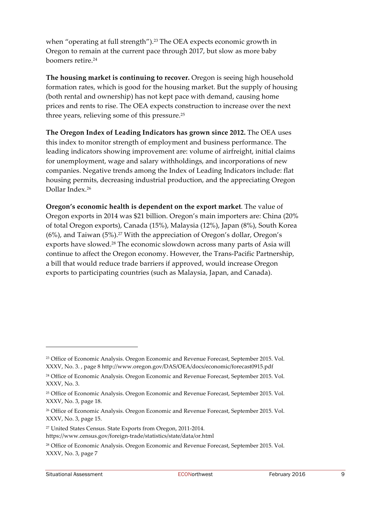when "operating at full strength").<sup>23</sup> The OEA expects economic growth in Oregon to remain at the current pace through 2017, but slow as more baby boomers retire.<sup>24</sup>

**The housing market is continuing to recover.** Oregon is seeing high household formation rates, which is good for the housing market. But the supply of housing (both rental and ownership) has not kept pace with demand, causing home prices and rents to rise. The OEA expects construction to increase over the next three years, relieving some of this pressure.25

**The Oregon Index of Leading Indicators has grown since 2012.** The OEA uses this index to monitor strength of employment and business performance. The leading indicators showing improvement are: volume of airfreight, initial claims for unemployment, wage and salary withholdings, and incorporations of new companies. Negative trends among the Index of Leading Indicators include: flat housing permits, decreasing industrial production, and the appreciating Oregon Dollar Index.26

**Oregon's economic health is dependent on the export market**. The value of Oregon exports in 2014 was \$21 billion. Oregon's main importers are: China (20% of total Oregon exports), Canada (15%), Malaysia (12%), Japan (8%), South Korea (6%), and Taiwan (5%).27 With the appreciation of Oregon's dollar, Oregon's exports have slowed.28 The economic slowdown across many parts of Asia will continue to affect the Oregon economy. However, the Trans-Pacific Partnership, a bill that would reduce trade barriers if approved, would increase Oregon exports to participating countries (such as Malaysia, Japan, and Canada).

<sup>23</sup> Office of Economic Analysis. Oregon Economic and Revenue Forecast, September 2015. Vol. XXXV, No. 3. , page 8 http://www.oregon.gov/DAS/OEA/docs/economic/forecast0915.pdf

<sup>24</sup> Office of Economic Analysis. Oregon Economic and Revenue Forecast, September 2015. Vol. XXXV, No. 3.

<sup>25</sup> Office of Economic Analysis. Oregon Economic and Revenue Forecast, September 2015. Vol. XXXV, No. 3, page 18.

<sup>&</sup>lt;sup>26</sup> Office of Economic Analysis. Oregon Economic and Revenue Forecast, September 2015. Vol. XXXV, No. 3, page 15.

<sup>27</sup> United States Census. State Exports from Oregon, 2011-2014.

https://www.census.gov/foreign-trade/statistics/state/data/or.html

<sup>28</sup> Office of Economic Analysis. Oregon Economic and Revenue Forecast, September 2015. Vol. XXXV, No. 3, page 7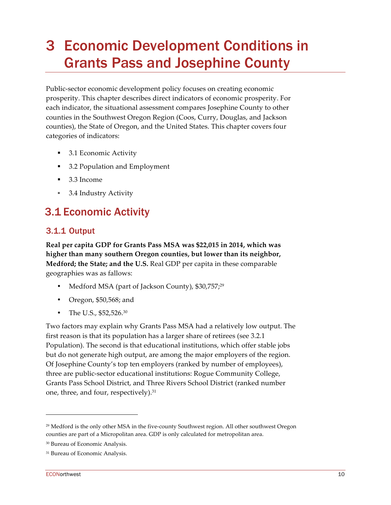# 3 Economic Development Conditions in Grants Pass and Josephine County

Public-sector economic development policy focuses on creating economic prosperity. This chapter describes direct indicators of economic prosperity. For each indicator, the situational assessment compares Josephine County to other counties in the Southwest Oregon Region (Coos, Curry, Douglas, and Jackson counties), the State of Oregon, and the United States. This chapter covers four categories of indicators:

- 3.1 Economic Activity
- § 3.2 Population and Employment
- 3.3 Income
- 3.4 Industry Activity

# 3.1 Economic Activity

### 3.1.1 Output

**Real per capita GDP for Grants Pass MSA was \$22,015 in 2014, which was higher than many southern Oregon counties, but lower than its neighbor, Medford; the State; and the U.S.** Real GDP per capita in these comparable geographies was as fallows:

- Medford MSA (part of Jackson County), \$30,757;<sup>29</sup>
- Oregon, \$50,568; and
- The U.S., \$52,526.<sup>30</sup>

Two factors may explain why Grants Pass MSA had a relatively low output. The first reason is that its population has a larger share of retirees (see 3.2.1 Population). The second is that educational institutions, which offer stable jobs but do not generate high output, are among the major employers of the region. Of Josephine County's top ten employers (ranked by number of employees), three are public-sector educational institutions: Rogue Community College, Grants Pass School District, and Three Rivers School District (ranked number one, three, and four, respectively). 31

<sup>29</sup> Medford is the only other MSA in the five-county Southwest region. All other southwest Oregon counties are part of a Micropolitan area. GDP is only calculated for metropolitan area.

<sup>30</sup> Bureau of Economic Analysis.

<sup>&</sup>lt;sup>31</sup> Bureau of Economic Analysis.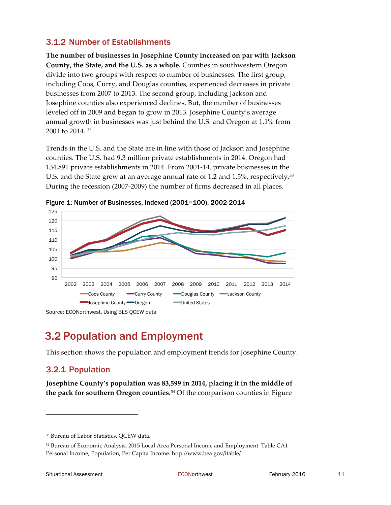### 3.1.2 Number of Establishments

**The number of businesses in Josephine County increased on par with Jackson County, the State, and the U.S. as a whole.** Counties in southwestern Oregon divide into two groups with respect to number of businesses. The first group, including Coos, Curry, and Douglas counties, experienced decreases in private businesses from 2007 to 2013. The second group, including Jackson and Josephine counties also experienced declines. But, the number of businesses leveled off in 2009 and began to grow in 2013. Josephine County's average annual growth in businesses was just behind the U.S. and Oregon at 1.1% from 2001 to 2014 32

Trends in the U.S. and the State are in line with those of Jackson and Josephine counties. The U.S. had 9.3 million private establishments in 2014. Oregon had 134,891 private establishments in 2014. From 2001-14, private businesses in the U.S. and the State grew at an average annual rate of 1.2 and 1.5%, respectively.33 During the recession (2007-2009) the number of firms decreased in all places.



Figure 1: Number of Businesses, indexed (2001=100), 2002-2014

### 3.2 Population and Employment

This section shows the population and employment trends for Josephine County.

### 3.2.1 Population

**Josephine County's population was 83,599 in 2014, placing it in the middle of the pack for southern Oregon counties. <sup>34</sup>** Of the comparison counties in Figure

<sup>33</sup> Bureau of Labor Statistics. QCEW data.

<sup>34</sup> Bureau of Economic Analysis. 2015 Local Area Personal Income and Employment. Table CA1 Personal Income, Population, Per Capita Income. http://www.bea.gov/itable/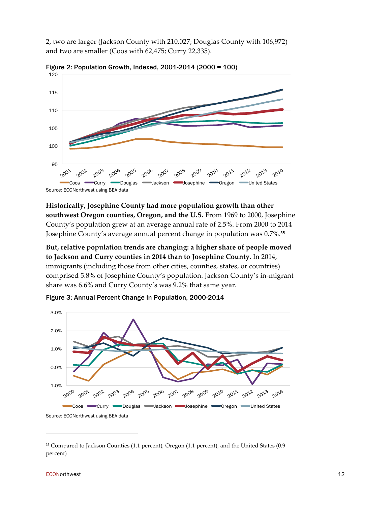2, two are larger (Jackson County with 210,027; Douglas County with 106,972) and two are smaller (Coos with 62,475; Curry 22,335).



Figure 2: Population Growth, Indexed, 2001-2014 (2000 = 100)

**Historically, Josephine County had more population growth than other southwest Oregon counties, Oregon, and the U.S.** From 1969 to 2000, Josephine County's population grew at an average annual rate of 2.5%. From 2000 to 2014 Josephine County's average annual percent change in population was 0.7%. **35**

**But, relative population trends are changing: a higher share of people moved to Jackson and Curry counties in 2014 than to Josephine County.** In 2014, immigrants (including those from other cities, counties, states, or countries) comprised 5.8% of Josephine County's population. Jackson County's in-migrant share was 6.6% and Curry County's was 9.2% that same year.



Figure 3: Annual Percent Change in Population, 2000-2014

Source: ECONorthwest using BEA data

<sup>35</sup> Compared to Jackson Counties (1.1 percent), Oregon (1.1 percent), and the United States (0.9 percent)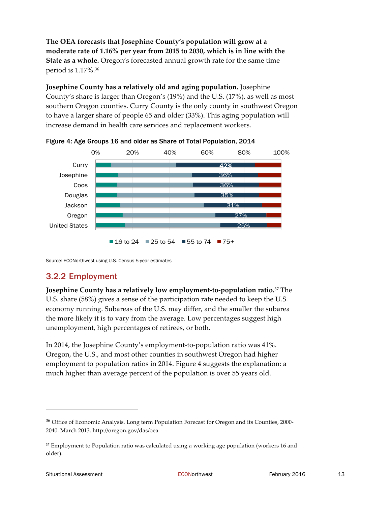**The OEA forecasts that Josephine County's population will grow at a moderate rate of 1.16% per year from 2015 to 2030, which is in line with the State as a whole.** Oregon's forecasted annual growth rate for the same time period is 1.17%. 36

**Josephine County has a relatively old and aging population.** Josephine County's share is larger than Oregon's (19%) and the U.S. (17%), as well as most southern Oregon counties. Curry County is the only county in southwest Oregon to have a larger share of people 65 and older (33%). This aging population will increase demand in health care services and replacement workers.



Figure 4: Age Groups 16 and older as Share of Total Population, 2014

Source: ECONorthwest using U.S. Census 5-year estimates

### 3.2.2 Employment

**Josephine County has a relatively low employment-to-population ratio.37** The U.S. share (58%) gives a sense of the participation rate needed to keep the U.S. economy running. Subareas of the U.S. may differ, and the smaller the subarea the more likely it is to vary from the average. Low percentages suggest high unemployment, high percentages of retirees, or both.

In 2014, the Josephine County's employment-to-population ratio was 41%. Oregon, the U.S., and most other counties in southwest Oregon had higher employment to population ratios in 2014. Figure 4 suggests the explanation: a much higher than average percent of the population is over 55 years old.

<sup>&</sup>lt;sup>36</sup> Office of Economic Analysis. Long term Population Forecast for Oregon and its Counties, 2000-2040. March 2013. http://oregon.gov/das/oea

<sup>37</sup> Employment to Population ratio was calculated using a working age population (workers 16 and older).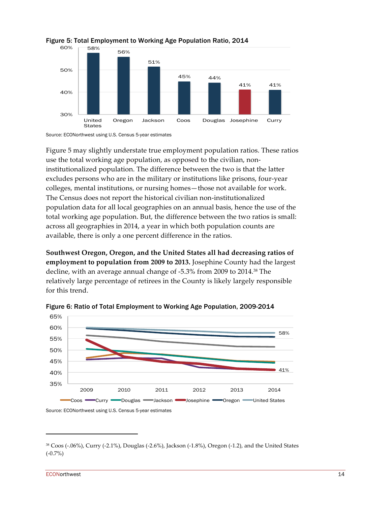

#### Figure 5: Total Employment to Working Age Population Ratio, 2014



Figure 5 may slightly understate true employment population ratios. These ratios use the total working age population, as opposed to the civilian, noninstitutionalized population. The difference between the two is that the latter excludes persons who are in the military or institutions like prisons, four-year colleges, mental institutions, or nursing homes—those not available for work. The Census does not report the historical civilian non-institutionalized population data for all local geographies on an annual basis, hence the use of the total working age population. But, the difference between the two ratios is small: across all geographies in 2014, a year in which both population counts are available, there is only a one percent difference in the ratios.

**Southwest Oregon, Oregon, and the United States all had decreasing ratios of employment to population from 2009 to 2013.** Josephine County had the largest decline, with an average annual change of -5.3% from 2009 to 2014.38 The relatively large percentage of retirees in the County is likely largely responsible for this trend.



Figure 6: Ratio of Total Employment to Working Age Population, 2009-2014

Source: ECONorthwest using U.S. Census 5-year estimates

<sup>38</sup> Coos (-.06%), Curry (-2.1%), Douglas (-2.6%), Jackson (-1.8%), Oregon (-1.2), and the United States (-0.7%)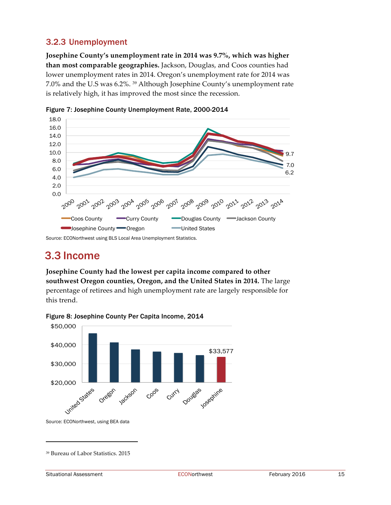### 3.2.3 Unemployment

**Josephine County's unemployment rate in 2014 was 9.7%, which was higher than most comparable geographies.** Jackson, Douglas, and Coos counties had lower unemployment rates in 2014. Oregon's unemployment rate for 2014 was 7.0% and the U.S was 6.2%. 39 Although Josephine County's unemployment rate is relatively high, it has improved the most since the recession.



Figure 7: Josephine County Unemployment Rate, 2000-2014

Source: ECONorthwest using BLS Local Area Unemployment Statistics.

### 3.3 Income

**Josephine County had the lowest per capita income compared to other southwest Oregon counties, Oregon, and the United States in 2014.** The large percentage of retirees and high unemployment rate are largely responsible for this trend.



Figure 8: Josephine County Per Capita Income, 2014

Source: ECONorthwest, using BEA data

<sup>39</sup> Bureau of Labor Statistics. 2015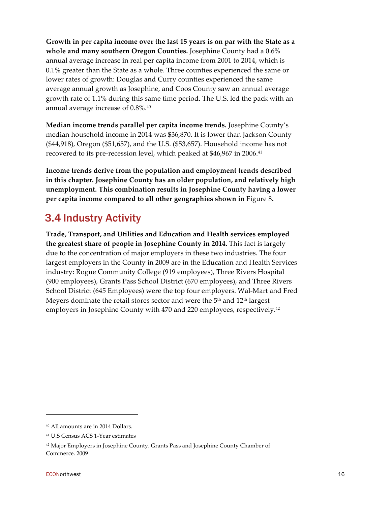**Growth in per capita income over the last 15 years is on par with the State as a whole and many southern Oregon Counties.** Josephine County had a 0.6% annual average increase in real per capita income from 2001 to 2014, which is 0.1% greater than the State as a whole. Three counties experienced the same or lower rates of growth: Douglas and Curry counties experienced the same average annual growth as Josephine, and Coos County saw an annual average growth rate of 1.1% during this same time period. The U.S. led the pack with an annual average increase of 0.8%. 40

**Median income trends parallel per capita income trends.** Josephine County's median household income in 2014 was \$36,870. It is lower than Jackson County (\$44,918), Oregon (\$51,657), and the U.S. (\$53,657). Household income has not recovered to its pre-recession level, which peaked at \$46,967 in 2006.<sup>41</sup>

**Income trends derive from the population and employment trends described in this chapter. Josephine County has an older population, and relatively high unemployment. This combination results in Josephine County having a lower per capita income compared to all other geographies shown in** Figure 8**.** 

## 3.4 Industry Activity

**Trade, Transport, and Utilities and Education and Health services employed the greatest share of people in Josephine County in 2014.** This fact is largely due to the concentration of major employers in these two industries. The four largest employers in the County in 2009 are in the Education and Health Services industry: Rogue Community College (919 employees), Three Rivers Hospital (900 employees), Grants Pass School District (670 employees), and Three Rivers School District (645 Employees) were the top four employers. Wal-Mart and Fred Meyers dominate the retail stores sector and were the  $5<sup>th</sup>$  and  $12<sup>th</sup>$  largest employers in Josephine County with 470 and 220 employees, respectively.42

<sup>40</sup> All amounts are in 2014 Dollars.

<sup>41</sup> U.S Census ACS 1-Year estimates

<sup>42</sup> Major Employers in Josephine County. Grants Pass and Josephine County Chamber of Commerce. 2009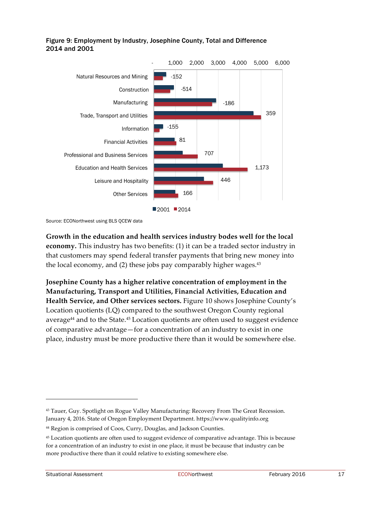

#### Figure 9: Employment by Industry, Josephine County, Total and Difference 2014 and 2001

Source: ECONorthwest using BLS QCEW data

**Growth in the education and health services industry bodes well for the local economy.** This industry has two benefits: (1) it can be a traded sector industry in that customers may spend federal transfer payments that bring new money into the local economy, and (2) these jobs pay comparably higher wages. 43

**Josephine County has a higher relative concentration of employment in the Manufacturing, Transport and Utilities, Financial Activities, Education and Health Service, and Other services sectors.** Figure 10 shows Josephine County's Location quotients (LQ) compared to the southwest Oregon County regional average44 and to the State.45 Location quotients are often used to suggest evidence of comparative advantage—for a concentration of an industry to exist in one place, industry must be more productive there than it would be somewhere else.

<sup>&</sup>lt;sup>43</sup> Tauer, Guy. Spotlight on Rogue Valley Manufacturing: Recovery From The Great Recession. January 4, 2016. State of Oregon Employment Department. https://www.qualityinfo.org

<sup>&</sup>lt;sup>44</sup> Region is comprised of Coos, Curry, Douglas, and Jackson Counties.

<sup>45</sup> Location quotients are often used to suggest evidence of comparative advantage. This is because for a concentration of an industry to exist in one place, it must be because that industry can be more productive there than it could relative to existing somewhere else.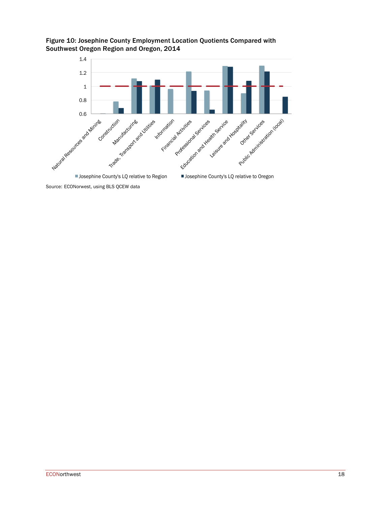



Source: ECONorwest, using BLS QCEW data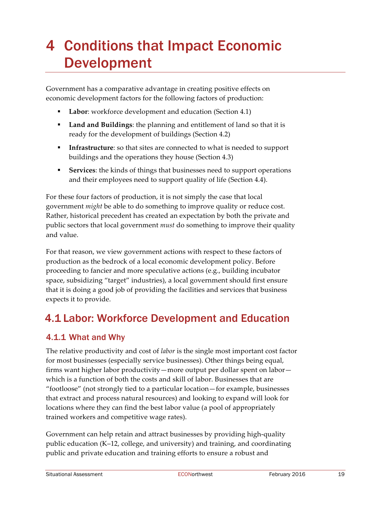# 4 Conditions that Impact Economic Development

Government has a comparative advantage in creating positive effects on economic development factors for the following factors of production:

- Labor: workforce development and education (Section 4.1)
- § **Land and Buildings**: the planning and entitlement of land so that it is ready for the development of buildings (Section 4.2)
- § **Infrastructure**: so that sites are connected to what is needed to support buildings and the operations they house (Section 4.3)
- § **Services**: the kinds of things that businesses need to support operations and their employees need to support quality of life (Section 4.4).

For these four factors of production, it is not simply the case that local government *might* be able to do something to improve quality or reduce cost. Rather, historical precedent has created an expectation by both the private and public sectors that local government *must* do something to improve their quality and value.

For that reason, we view government actions with respect to these factors of production as the bedrock of a local economic development policy. Before proceeding to fancier and more speculative actions (e.g., building incubator space, subsidizing "target" industries), a local government should first ensure that it is doing a good job of providing the facilities and services that business expects it to provide.

# 4.1 Labor: Workforce Development and Education

### 4.1.1 What and Why

The relative productivity and cost of *labor* is the single most important cost factor for most businesses (especially service businesses). Other things being equal, firms want higher labor productivity—more output per dollar spent on labor which is a function of both the costs and skill of labor. Businesses that are "footloose" (not strongly tied to a particular location—for example, businesses that extract and process natural resources) and looking to expand will look for locations where they can find the best labor value (a pool of appropriately trained workers and competitive wage rates).

Government can help retain and attract businesses by providing high-quality public education (K–12, college, and university) and training, and coordinating public and private education and training efforts to ensure a robust and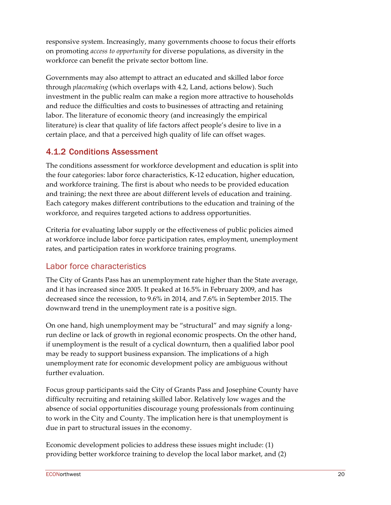responsive system. Increasingly, many governments choose to focus their efforts on promoting *access to opportunity* for diverse populations, as diversity in the workforce can benefit the private sector bottom line.

Governments may also attempt to attract an educated and skilled labor force through *placemaking* (which overlaps with 4.2, Land, actions below). Such investment in the public realm can make a region more attractive to households and reduce the difficulties and costs to businesses of attracting and retaining labor. The literature of economic theory (and increasingly the empirical literature) is clear that quality of life factors affect people's desire to live in a certain place, and that a perceived high quality of life can offset wages.

### 4.1.2 Conditions Assessment

The conditions assessment for workforce development and education is split into the four categories: labor force characteristics, K-12 education, higher education, and workforce training. The first is about who needs to be provided education and training; the next three are about different levels of education and training. Each category makes different contributions to the education and training of the workforce, and requires targeted actions to address opportunities.

Criteria for evaluating labor supply or the effectiveness of public policies aimed at workforce include labor force participation rates, employment, unemployment rates, and participation rates in workforce training programs.

### Labor force characteristics

The City of Grants Pass has an unemployment rate higher than the State average, and it has increased since 2005. It peaked at 16.5% in February 2009, and has decreased since the recession, to 9.6% in 2014, and 7.6% in September 2015. The downward trend in the unemployment rate is a positive sign.

On one hand, high unemployment may be "structural" and may signify a longrun decline or lack of growth in regional economic prospects. On the other hand, if unemployment is the result of a cyclical downturn, then a qualified labor pool may be ready to support business expansion. The implications of a high unemployment rate for economic development policy are ambiguous without further evaluation.

Focus group participants said the City of Grants Pass and Josephine County have difficulty recruiting and retaining skilled labor. Relatively low wages and the absence of social opportunities discourage young professionals from continuing to work in the City and County. The implication here is that unemployment is due in part to structural issues in the economy.

Economic development policies to address these issues might include: (1) providing better workforce training to develop the local labor market, and (2)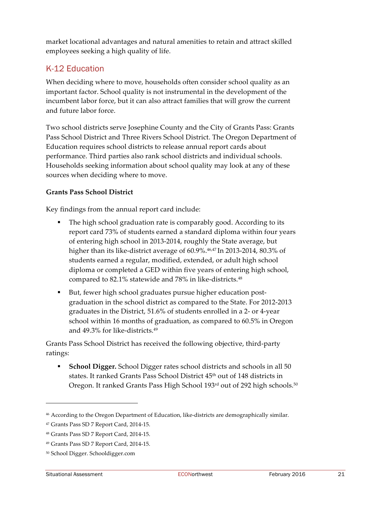market locational advantages and natural amenities to retain and attract skilled employees seeking a high quality of life.

### K-12 Education

When deciding where to move, households often consider school quality as an important factor. School quality is not instrumental in the development of the incumbent labor force, but it can also attract families that will grow the current and future labor force.

Two school districts serve Josephine County and the City of Grants Pass: Grants Pass School District and Three Rivers School District. The Oregon Department of Education requires school districts to release annual report cards about performance. Third parties also rank school districts and individual schools. Households seeking information about school quality may look at any of these sources when deciding where to move.

#### **Grants Pass School District**

Key findings from the annual report card include:

- The high school graduation rate is comparably good. According to its report card 73% of students earned a standard diploma within four years of entering high school in 2013-2014, roughly the State average, but higher than its like-district average of 60.9%.<sup>46,47</sup> In 2013-2014, 80.3% of students earned a regular, modified, extended, or adult high school diploma or completed a GED within five years of entering high school, compared to 82.1% statewide and 78% in like-districts.<sup>48</sup>
- But, fewer high school graduates pursue higher education postgraduation in the school district as compared to the State. For 2012-2013 graduates in the District, 51.6% of students enrolled in a 2- or 4-year school within 16 months of graduation, as compared to 60.5% in Oregon and 49.3% for like-districts.49

Grants Pass School District has received the following objective, third-party ratings:

§ **School Digger.** School Digger rates school districts and schools in all 50 states. It ranked Grants Pass School District 45<sup>th</sup> out of 148 districts in Oregon. It ranked Grants Pass High School 193rd out of 292 high schools.<sup>50</sup>

<sup>46</sup> According to the Oregon Department of Education, like-districts are demographically similar.

<sup>47</sup> Grants Pass SD 7 Report Card, 2014-15.

<sup>48</sup> Grants Pass SD 7 Report Card, 2014-15.

<sup>49</sup> Grants Pass SD 7 Report Card, 2014-15.

<sup>50</sup> School Digger. Schooldigger.com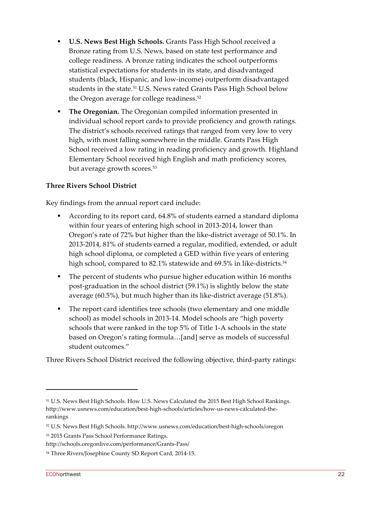- § **U.S. News Best High Schools.** Grants Pass High School received a Bronze rating from U.S. News, based on state test performance and college readiness. A bronze rating indicates the school outperforms statistical expectations for students in its state, and disadvantaged students (black, Hispanic, and low-income) outperform disadvantaged students in the state.<sup>51</sup> U.S. News rated Grants Pass High School below the Oregon average for college readiness.<sup>52</sup>
- **The Oregonian.** The Oregonian compiled information presented in individual school report cards to provide proficiency and growth ratings. The district's schools received ratings that ranged from very low to very high, with most falling somewhere in the middle. Grants Pass High School received a low rating in reading proficiency and growth. Highland Elementary School received high English and math proficiency scores, but average growth scores.<sup>53</sup>

#### **Three Rivers School District**

Key findings from the annual report card include:

- § According to its report card, 64.8% of students earned a standard diploma within four years of entering high school in 2013-2014, lower than Oregon's rate of 72% but higher than the like-district average of 50.1%. In 2013-2014, 81% of students earned a regular, modified, extended, or adult high school diploma, or completed a GED within five years of entering high school, compared to 82.1% statewide and 69.5% in like-districts.<sup>54</sup>
- The percent of students who pursue higher education within 16 months post-graduation in the school district (59.1%) is slightly below the state average (60.5%), but much higher than its like-district average (51.8%).
- § The report card identifies tree schools (two elementary and one middle school) as model schools in 2013-14. Model schools are "high poverty schools that were ranked in the top 5% of Title 1-A schools in the state based on Oregon's rating formula…[and] serve as models of successful student outcomes."

Three Rivers School District received the following objective, third-party ratings:

<sup>51</sup> U.S. News Best High Schools. How U.S. News Calculated the 2015 Best High School Rankings. http://www.usnews.com/education/best-high-schools/articles/how-us-news-calculated-therankings

<sup>52</sup> U.S. News Best High Schools. http://www.usnews.com/education/best-high-schools/oregon

<sup>53</sup> 2015 Grants Pass School Performance Ratings.

http://schools.oregonlive.com/performance/Grants-Pass/

<sup>54</sup> Three Rivers/Josephine County SD Report Card, 2014-15.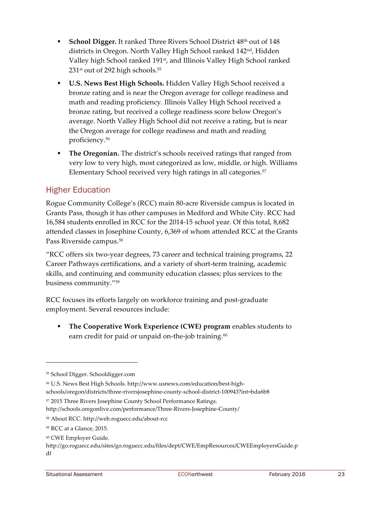- School Digger. It ranked Three Rivers School District 48<sup>th</sup> out of 148 districts in Oregon. North Valley High School ranked 142nd, Hidden Valley high School ranked 191<sup>st</sup>, and Illinois Valley High School ranked 231<sup>st</sup> out of 292 high schools.<sup>55</sup>
- § **U.S. News Best High Schools.** Hidden Valley High School received a bronze rating and is near the Oregon average for college readiness and math and reading proficiency. Illinois Valley High School received a bronze rating, but received a college readiness score below Oregon's average. North Valley High School did not receive a rating, but is near the Oregon average for college readiness and math and reading proficiency.56
- **The Oregonian.** The district's schools received ratings that ranged from very low to very high, most categorized as low, middle, or high. Williams Elementary School received very high ratings in all categories.<sup>57</sup>

### Higher Education

Rogue Community College's (RCC) main 80-acre Riverside campus is located in Grants Pass, though it has other campuses in Medford and White City. RCC had 16,584 students enrolled in RCC for the 2014-15 school year. Of this total, 8,682 attended classes in Josephine County, 6,369 of whom attended RCC at the Grants Pass Riverside campus.58

"RCC offers six two-year degrees, 73 career and technical training programs, 22 Career Pathways certifications, and a variety of short-term training, academic skills, and continuing and community education classes; plus services to the business community."59

RCC focuses its efforts largely on workforce training and post-graduate employment. Several resources include:

§ **The Cooperative Work Experience (CWE) program** enables students to earn credit for paid or unpaid on-the-job training.<sup>60</sup>

<sup>55</sup> School Digger. Schooldigger.com

<sup>56</sup> U.S. News Best High Schools. http://www.usnews.com/education/best-highschools/oregon/districts/three-riversjosephine-county-school-district-100943?int=bda6b8

<sup>57</sup> 2015 Three Rivers Josephine County School Performance Ratings.

http://schools.oregonlive.com/performance/Three-Rivers-Josephine-County/

<sup>58</sup> About RCC. http://web.roguecc.edu/about-rcc

<sup>59</sup> RCC at a Glance, 2015.

<sup>60</sup> CWE Employer Guide.

http://go.roguecc.edu/sites/go.roguecc.edu/files/dept/CWE/EmpResources/CWEEmployersGuide.p df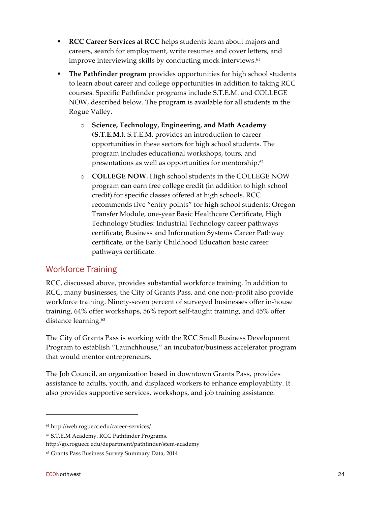- § **RCC Career Services at RCC** helps students learn about majors and careers, search for employment, write resumes and cover letters, and improve interviewing skills by conducting mock interviews.<sup>61</sup>
- § **The Pathfinder program** provides opportunities for high school students to learn about career and college opportunities in addition to taking RCC courses. Specific Pathfinder programs include S.T.E.M. and COLLEGE NOW, described below. The program is available for all students in the Rogue Valley.
	- o **Science, Technology, Engineering, and Math Academy (S.T.E.M.).** S.T.E.M. provides an introduction to career opportunities in these sectors for high school students. The program includes educational workshops, tours, and presentations as well as opportunities for mentorship.<sup>62</sup>
	- o **COLLEGE NOW.** High school students in the COLLEGE NOW program can earn free college credit (in addition to high school credit) for specific classes offered at high schools. RCC recommends five "entry points" for high school students: Oregon Transfer Module, one-year Basic Healthcare Certificate, High Technology Studies: Industrial Technology career pathways certificate, Business and Information Systems Career Pathway certificate, or the Early Childhood Education basic career pathways certificate.

### Workforce Training

RCC, discussed above, provides substantial workforce training. In addition to RCC, many businesses, the City of Grants Pass, and one non-profit also provide workforce training. Ninety-seven percent of surveyed businesses offer in-house training, 64% offer workshops, 56% report self-taught training, and 45% offer distance learning.63

The City of Grants Pass is working with the RCC Small Business Development Program to establish "Launchhouse," an incubator/business accelerator program that would mentor entrepreneurs.

The Job Council, an organization based in downtown Grants Pass, provides assistance to adults, youth, and displaced workers to enhance employability. It also provides supportive services, workshops, and job training assistance.

<sup>61</sup> http://web.roguecc.edu/career-services/

<sup>62</sup> S.T.E.M Academy. RCC Pathfinder Programs.

http://go.roguecc.edu/department/pathfinder/stem-academy

<sup>63</sup> Grants Pass Business Survey Summary Data, 2014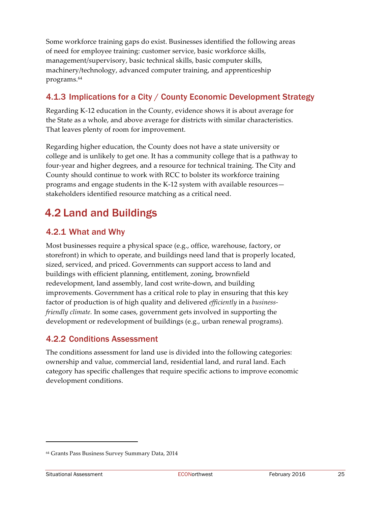Some workforce training gaps do exist. Businesses identified the following areas of need for employee training: customer service, basic workforce skills, management/supervisory, basic technical skills, basic computer skills, machinery/technology, advanced computer training, and apprenticeship programs.64

### 4.1.3 Implications for a City / County Economic Development Strategy

Regarding K-12 education in the County, evidence shows it is about average for the State as a whole, and above average for districts with similar characteristics. That leaves plenty of room for improvement.

Regarding higher education, the County does not have a state university or college and is unlikely to get one. It has a community college that is a pathway to four-year and higher degrees, and a resource for technical training. The City and County should continue to work with RCC to bolster its workforce training programs and engage students in the K-12 system with available resources stakeholders identified resource matching as a critical need.

## 4.2 Land and Buildings

### 4.2.1 What and Why

Most businesses require a physical space (e.g., office, warehouse, factory, or storefront) in which to operate, and buildings need land that is properly located, sized, serviced, and priced. Governments can support access to land and buildings with efficient planning, entitlement, zoning, brownfield redevelopment, land assembly, land cost write-down, and building improvements. Government has a critical role to play in ensuring that this key factor of production is of high quality and delivered *efficiently* in a *businessfriendly climate.* In some cases, government gets involved in supporting the development or redevelopment of buildings (e.g., urban renewal programs).

### 4.2.2 Conditions Assessment

The conditions assessment for land use is divided into the following categories: ownership and value, commercial land, residential land, and rural land. Each category has specific challenges that require specific actions to improve economic development conditions.

<sup>64</sup> Grants Pass Business Survey Summary Data, 2014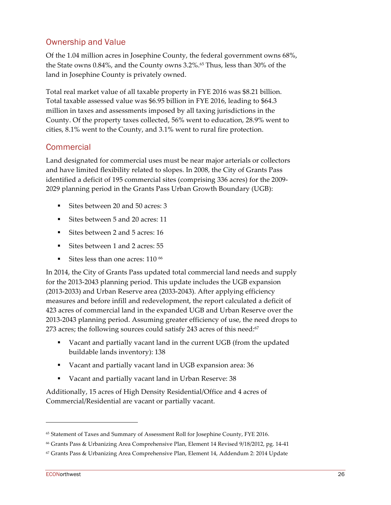### Ownership and Value

Of the 1.04 million acres in Josephine County, the federal government owns 68%, the State owns 0.84%, and the County owns 3.2%. <sup>65</sup> Thus, less than 30% of the land in Josephine County is privately owned.

Total real market value of all taxable property in FYE 2016 was \$8.21 billion. Total taxable assessed value was \$6.95 billion in FYE 2016, leading to \$64.3 million in taxes and assessments imposed by all taxing jurisdictions in the County. Of the property taxes collected, 56% went to education, 28.9% went to cities, 8.1% went to the County, and 3.1% went to rural fire protection.

### **Commercial**

Land designated for commercial uses must be near major arterials or collectors and have limited flexibility related to slopes. In 2008, the City of Grants Pass identified a deficit of 195 commercial sites (comprising 336 acres) for the 2009- 2029 planning period in the Grants Pass Urban Growth Boundary (UGB):

- Sites between 20 and 50 acres: 3
- Sites between 5 and 20 acres: 11
- Sites between 2 and 5 acres: 16
- Sites between 1 and 2 acres: 55
- Sites less than one acres: 110 <sup>66</sup>

In 2014, the City of Grants Pass updated total commercial land needs and supply for the 2013-2043 planning period. This update includes the UGB expansion (2013-2033) and Urban Reserve area (2033-2043). After applying efficiency measures and before infill and redevelopment, the report calculated a deficit of 423 acres of commercial land in the expanded UGB and Urban Reserve over the 2013-2043 planning period. Assuming greater efficiency of use, the need drops to 273 acres; the following sources could satisfy 243 acres of this need: $67$ 

- § Vacant and partially vacant land in the current UGB (from the updated buildable lands inventory): 138
- Vacant and partially vacant land in UGB expansion area: 36
- Vacant and partially vacant land in Urban Reserve: 38

Additionally, 15 acres of High Density Residential/Office and 4 acres of Commercial/Residential are vacant or partially vacant.

<sup>65</sup> Statement of Taxes and Summary of Assessment Roll for Josephine County, FYE 2016.

<sup>66</sup> Grants Pass & Urbanizing Area Comprehensive Plan, Element 14 Revised 9/18/2012, pg. 14-41

<sup>67</sup> Grants Pass & Urbanizing Area Comprehensive Plan, Element 14, Addendum 2: 2014 Update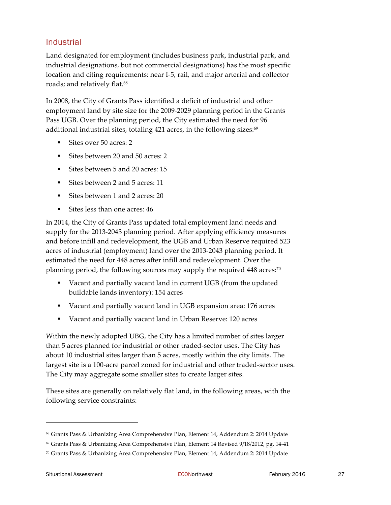### **Industrial**

Land designated for employment (includes business park, industrial park, and industrial designations, but not commercial designations) has the most specific location and citing requirements: near I-5, rail, and major arterial and collector roads; and relatively flat.<sup>68</sup>

In 2008, the City of Grants Pass identified a deficit of industrial and other employment land by site size for the 2009-2029 planning period in the Grants Pass UGB. Over the planning period, the City estimated the need for 96 additional industrial sites, totaling 421 acres, in the following sizes: 69

- Sites over 50 acres: 2
- § Sites between 20 and 50 acres: 2
- Sites between 5 and 20 acres: 15
- Sites between 2 and 5 acres: 11
- Sites between 1 and 2 acres: 20
- Sites less than one acres: 46

In 2014, the City of Grants Pass updated total employment land needs and supply for the 2013-2043 planning period. After applying efficiency measures and before infill and redevelopment, the UGB and Urban Reserve required 523 acres of industrial (employment) land over the 2013-2043 planning period. It estimated the need for 448 acres after infill and redevelopment. Over the planning period, the following sources may supply the required 448 acres: 70

- § Vacant and partially vacant land in current UGB (from the updated buildable lands inventory): 154 acres
- Vacant and partially vacant land in UGB expansion area: 176 acres
- § Vacant and partially vacant land in Urban Reserve: 120 acres

Within the newly adopted UBG, the City has a limited number of sites larger than 5 acres planned for industrial or other traded-sector uses. The City has about 10 industrial sites larger than 5 acres, mostly within the city limits. The largest site is a 100-acre parcel zoned for industrial and other traded-sector uses. The City may aggregate some smaller sites to create larger sites.

These sites are generally on relatively flat land, in the following areas, with the following service constraints:

<sup>68</sup> Grants Pass & Urbanizing Area Comprehensive Plan, Element 14, Addendum 2: 2014 Update

<sup>69</sup> Grants Pass & Urbanizing Area Comprehensive Plan, Element 14 Revised 9/18/2012, pg. 14-41

 $70$  Grants Pass & Urbanizing Area Comprehensive Plan, Element 14, Addendum 2: 2014 Update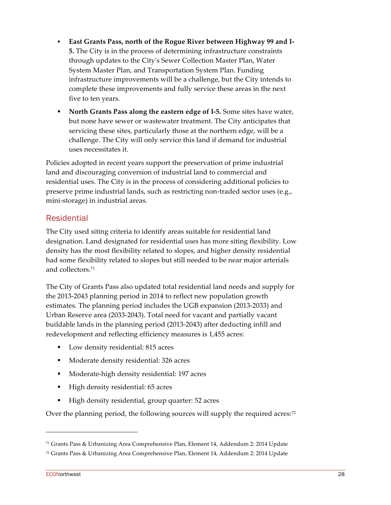- § **East Grants Pass, north of the Rogue River between Highway 99 and I-5.** The City is in the process of determining infrastructure constraints through updates to the City's Sewer Collection Master Plan, Water System Master Plan, and Transportation System Plan. Funding infrastructure improvements will be a challenge, but the City intends to complete these improvements and fully service these areas in the next five to ten years.
- § **North Grants Pass along the eastern edge of I-5.** Some sites have water, but none have sewer or wastewater treatment. The City anticipates that servicing these sites, particularly those at the northern edge, will be a challenge. The City will only service this land if demand for industrial uses necessitates it.

Policies adopted in recent years support the preservation of prime industrial land and discouraging conversion of industrial land to commercial and residential uses. The City is in the process of considering additional policies to preserve prime industrial lands, such as restricting non-traded sector uses (e.g., mini-storage) in industrial areas.

#### **Residential**

The City used siting criteria to identify areas suitable for residential land designation. Land designated for residential uses has more siting flexibility. Low density has the most flexibility related to slopes, and higher density residential had some flexibility related to slopes but still needed to be near major arterials and collectors.71

The City of Grants Pass also updated total residential land needs and supply for the 2013-2043 planning period in 2014 to reflect new population growth estimates. The planning period includes the UGB expansion (2013-2033) and Urban Reserve area (2033-2043). Total need for vacant and partially vacant buildable lands in the planning period (2013-2043) after deducting infill and redevelopment and reflecting efficiency measures is 1,455 acres:

- Low density residential: 815 acres
- Moderate density residential: 326 acres
- Moderate-high density residential: 197 acres
- § High density residential: 65 acres
- § High density residential, group quarter: 52 acres

Over the planning period, the following sources will supply the required acres:<sup>72</sup>

<sup>71</sup> Grants Pass & Urbanizing Area Comprehensive Plan, Element 14, Addendum 2: 2014 Update

<sup>72</sup> Grants Pass & Urbanizing Area Comprehensive Plan, Element 14, Addendum 2: 2014 Update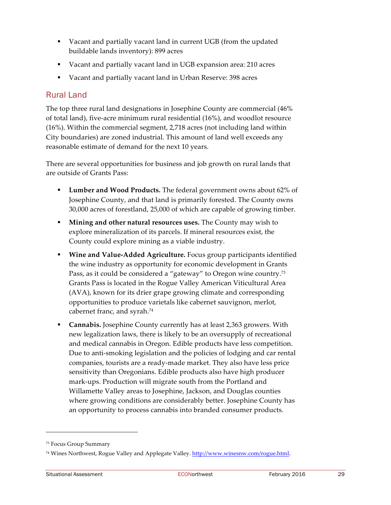- § Vacant and partially vacant land in current UGB (from the updated buildable lands inventory): 899 acres
- Vacant and partially vacant land in UGB expansion area: 210 acres
- § Vacant and partially vacant land in Urban Reserve: 398 acres

### Rural Land

The top three rural land designations in Josephine County are commercial (46% of total land), five-acre minimum rural residential (16%), and woodlot resource (16%). Within the commercial segment, 2,718 acres (not including land within City boundaries) are zoned industrial. This amount of land well exceeds any reasonable estimate of demand for the next 10 years.

There are several opportunities for business and job growth on rural lands that are outside of Grants Pass:

- § **Lumber and Wood Products.** The federal government owns about 62% of Josephine County, and that land is primarily forested. The County owns 30,000 acres of forestland, 25,000 of which are capable of growing timber.
- § **Mining and other natural resources uses.** The County may wish to explore mineralization of its parcels. If mineral resources exist, the County could explore mining as a viable industry.
- § **Wine and Value-Added Agriculture.** Focus group participants identified the wine industry as opportunity for economic development in Grants Pass, as it could be considered a "gateway" to Oregon wine country.<sup>73</sup> Grants Pass is located in the Rogue Valley American Viticultural Area (AVA), known for its drier grape growing climate and corresponding opportunities to produce varietals like cabernet sauvignon, merlot, cabernet franc, and syrah.74
- **Cannabis.** Josephine County currently has at least 2,363 growers. With new legalization laws, there is likely to be an oversupply of recreational and medical cannabis in Oregon. Edible products have less competition. Due to anti-smoking legislation and the policies of lodging and car rental companies, tourists are a ready-made market. They also have less price sensitivity than Oregonians. Edible products also have high producer mark-ups. Production will migrate south from the Portland and Willamette Valley areas to Josephine, Jackson, and Douglas counties where growing conditions are considerably better. Josephine County has an opportunity to process cannabis into branded consumer products.

<sup>73</sup> Focus Group Summary

<sup>74</sup> Wines Northwest, Rogue Valley and Applegate Valley. http://www.winesnw.com/rogue.html.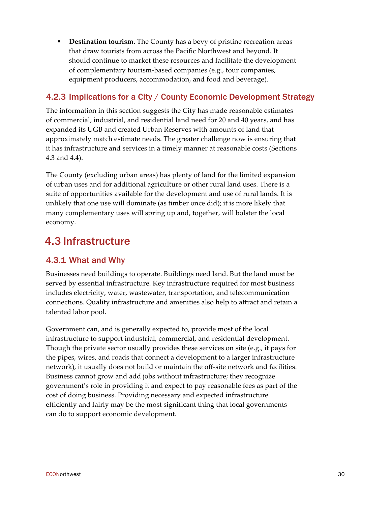**• Destination tourism.** The County has a bevy of pristine recreation areas that draw tourists from across the Pacific Northwest and beyond. It should continue to market these resources and facilitate the development of complementary tourism-based companies (e.g., tour companies, equipment producers, accommodation, and food and beverage).

### 4.2.3 Implications for a City / County Economic Development Strategy

The information in this section suggests the City has made reasonable estimates of commercial, industrial, and residential land need for 20 and 40 years, and has expanded its UGB and created Urban Reserves with amounts of land that approximately match estimate needs. The greater challenge now is ensuring that it has infrastructure and services in a timely manner at reasonable costs (Sections 4.3 and 4.4).

The County (excluding urban areas) has plenty of land for the limited expansion of urban uses and for additional agriculture or other rural land uses. There is a suite of opportunities available for the development and use of rural lands. It is unlikely that one use will dominate (as timber once did); it is more likely that many complementary uses will spring up and, together, will bolster the local economy.

## 4.3 Infrastructure

### 4.3.1 What and Why

Businesses need buildings to operate. Buildings need land. But the land must be served by essential infrastructure. Key infrastructure required for most business includes electricity, water, wastewater, transportation, and telecommunication connections. Quality infrastructure and amenities also help to attract and retain a talented labor pool.

Government can, and is generally expected to, provide most of the local infrastructure to support industrial, commercial, and residential development. Though the private sector usually provides these services on site (e.g., it pays for the pipes, wires, and roads that connect a development to a larger infrastructure network), it usually does not build or maintain the off-site network and facilities. Business cannot grow and add jobs without infrastructure; they recognize government's role in providing it and expect to pay reasonable fees as part of the cost of doing business. Providing necessary and expected infrastructure efficiently and fairly may be the most significant thing that local governments can do to support economic development.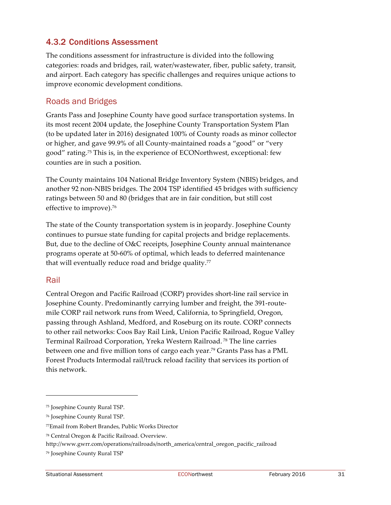### 4.3.2 Conditions Assessment

The conditions assessment for infrastructure is divided into the following categories: roads and bridges, rail, water/wastewater, fiber, public safety, transit, and airport. Each category has specific challenges and requires unique actions to improve economic development conditions.

#### Roads and Bridges

Grants Pass and Josephine County have good surface transportation systems. In its most recent 2004 update, the Josephine County Transportation System Plan (to be updated later in 2016) designated 100% of County roads as minor collector or higher, and gave 99.9% of all County-maintained roads a "good" or "very good" rating.75 This is, in the experience of ECONorthwest, exceptional: few counties are in such a position.

The County maintains 104 National Bridge Inventory System (NBIS) bridges, and another 92 non-NBIS bridges. The 2004 TSP identified 45 bridges with sufficiency ratings between 50 and 80 (bridges that are in fair condition, but still cost effective to improve).<sup>76</sup>

The state of the County transportation system is in jeopardy. Josephine County continues to pursue state funding for capital projects and bridge replacements. But, due to the decline of O&C receipts, Josephine County annual maintenance programs operate at 50-60% of optimal, which leads to deferred maintenance that will eventually reduce road and bridge quality. $77$ 

#### Rail

 $\overline{a}$ 

Central Oregon and Pacific Railroad (CORP) provides short-line rail service in Josephine County. Predominantly carrying lumber and freight, the 391-routemile CORP rail network runs from Weed, California, to Springfield, Oregon, passing through Ashland, Medford, and Roseburg on its route. CORP connects to other rail networks: Coos Bay Rail Link, Union Pacific Railroad, Rogue Valley Terminal Railroad Corporation, Yreka Western Railroad. <sup>78</sup> The line carries between one and five million tons of cargo each year.79 Grants Pass has a PML Forest Products Intermodal rail/truck reload facility that services its portion of this network.

<sup>75</sup> Josephine County Rural TSP.

<sup>76</sup> Josephine County Rural TSP.

<sup>77</sup>Email from Robert Brandes, Public Works Director

<sup>78</sup> Central Oregon & Pacific Railroad. Overview.

http://www.gwrr.com/operations/railroads/north\_america/central\_oregon\_pacific\_railroad

<sup>79</sup> Josephine County Rural TSP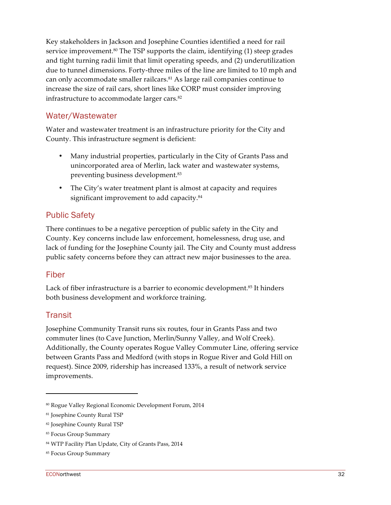Key stakeholders in Jackson and Josephine Counties identified a need for rail service improvement.<sup>80</sup> The TSP supports the claim, identifying (1) steep grades and tight turning radii limit that limit operating speeds, and (2) underutilization due to tunnel dimensions. Forty-three miles of the line are limited to 10 mph and can only accommodate smaller railcars. <sup>81</sup> As large rail companies continue to increase the size of rail cars, short lines like CORP must consider improving infrastructure to accommodate larger cars. 82

### Water/Wastewater

Water and wastewater treatment is an infrastructure priority for the City and County. This infrastructure segment is deficient:

- Many industrial properties, particularly in the City of Grants Pass and unincorporated area of Merlin, lack water and wastewater systems, preventing business development. 83
- The City's water treatment plant is almost at capacity and requires significant improvement to add capacity.<sup>84</sup>

### Public Safety

There continues to be a negative perception of public safety in the City and County. Key concerns include law enforcement, homelessness, drug use, and lack of funding for the Josephine County jail. The City and County must address public safety concerns before they can attract new major businesses to the area.

#### Fiber

Lack of fiber infrastructure is a barrier to economic development.<sup>85</sup> It hinders both business development and workforce training.

### **Transit**

 $\overline{a}$ 

Josephine Community Transit runs six routes, four in Grants Pass and two commuter lines (to Cave Junction, Merlin/Sunny Valley, and Wolf Creek). Additionally, the County operates Rogue Valley Commuter Line, offering service between Grants Pass and Medford (with stops in Rogue River and Gold Hill on request). Since 2009, ridership has increased 133%, a result of network service improvements.

<sup>80</sup> Rogue Valley Regional Economic Development Forum, 2014

<sup>81</sup> Josephine County Rural TSP

<sup>82</sup> Josephine County Rural TSP

<sup>83</sup> Focus Group Summary

<sup>84</sup> WTP Facility Plan Update, City of Grants Pass, 2014

<sup>85</sup> Focus Group Summary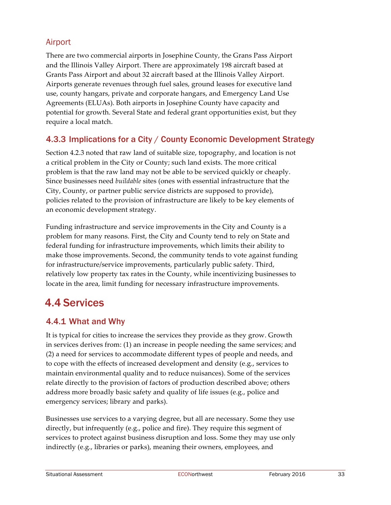### Airport

There are two commercial airports in Josephine County, the Grans Pass Airport and the Illinois Valley Airport. There are approximately 198 aircraft based at Grants Pass Airport and about 32 aircraft based at the Illinois Valley Airport. Airports generate revenues through fuel sales, ground leases for executive land use, county hangars, private and corporate hangars, and Emergency Land Use Agreements (ELUAs). Both airports in Josephine County have capacity and potential for growth. Several State and federal grant opportunities exist, but they require a local match.

### 4.3.3 Implications for a City / County Economic Development Strategy

Section 4.2.3 noted that raw land of suitable size, topography, and location is not a critical problem in the City or County; such land exists. The more critical problem is that the raw land may not be able to be serviced quickly or cheaply. Since businesses need *buildable* sites (ones with essential infrastructure that the City, County, or partner public service districts are supposed to provide), policies related to the provision of infrastructure are likely to be key elements of an economic development strategy.

Funding infrastructure and service improvements in the City and County is a problem for many reasons. First, the City and County tend to rely on State and federal funding for infrastructure improvements, which limits their ability to make those improvements. Second, the community tends to vote against funding for infrastructure/service improvements, particularly public safety. Third, relatively low property tax rates in the County, while incentivizing businesses to locate in the area, limit funding for necessary infrastructure improvements.

### 4.4 Services

### 4.4.1 What and Why

It is typical for cities to increase the services they provide as they grow. Growth in services derives from: (1) an increase in people needing the same services; and (2) a need for services to accommodate different types of people and needs, and to cope with the effects of increased development and density (e.g., services to maintain environmental quality and to reduce nuisances). Some of the services relate directly to the provision of factors of production described above; others address more broadly basic safety and quality of life issues (e.g., police and emergency services; library and parks).

Businesses use services to a varying degree, but all are necessary. Some they use directly, but infrequently (e.g., police and fire). They require this segment of services to protect against business disruption and loss. Some they may use only indirectly (e.g., libraries or parks), meaning their owners, employees, and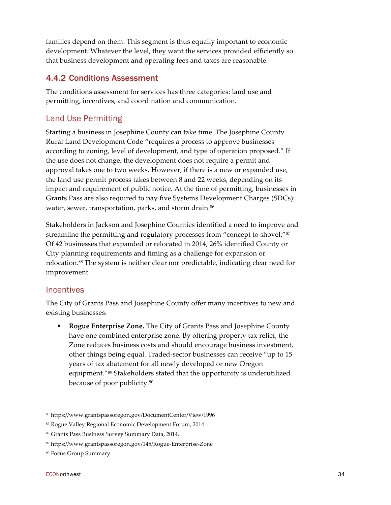families depend on them. This segment is thus equally important to economic development. Whatever the level, they want the services provided efficiently so that business development and operating fees and taxes are reasonable.

### 4.4.2 Conditions Assessment

The conditions assessment for services has three categories: land use and permitting, incentives, and coordination and communication.

### Land Use Permitting

Starting a business in Josephine County can take time. The Josephine County Rural Land Development Code "requires a process to approve businesses according to zoning, level of development, and type of operation proposed." If the use does not change, the development does not require a permit and approval takes one to two weeks. However, if there is a new or expanded use, the land use permit process takes between 8 and 22 weeks, depending on its impact and requirement of public notice. At the time of permitting, businesses in Grants Pass are also required to pay five Systems Development Charges (SDCs): water, sewer, transportation, parks, and storm drain.<sup>86</sup>

Stakeholders in Jackson and Josephine Counties identified a need to improve and streamline the permitting and regulatory processes from "concept to shovel."<sup>87</sup> Of 42 businesses that expanded or relocated in 2014, 26% identified County or City planning requirements and timing as a challenge for expansion or relocation.88 The system is neither clear nor predictable, indicating clear need for improvement.

#### Incentives

The City of Grants Pass and Josephine County offer many incentives to new and existing businesses:

■ **Rogue Enterprise Zone.** The City of Grants Pass and Josephine County have one combined enterprise zone. By offering property tax relief, the Zone reduces business costs and should encourage business investment, other things being equal. Traded-sector businesses can receive "up to 15 years of tax abatement for all newly developed or new Oregon equipment."89 Stakeholders stated that the opportunity is underutilized because of poor publicity.90

<sup>86</sup> https://www.grantspassoregon.gov/DocumentCenter/View/1996

<sup>87</sup> Rogue Valley Regional Economic Development Forum, 2014

<sup>88</sup> Grants Pass Business Survey Summary Data, 2014.

<sup>89</sup> https://www.grantspassoregon.gov/145/Rogue-Enterprise-Zone

<sup>90</sup> Focus Group Summary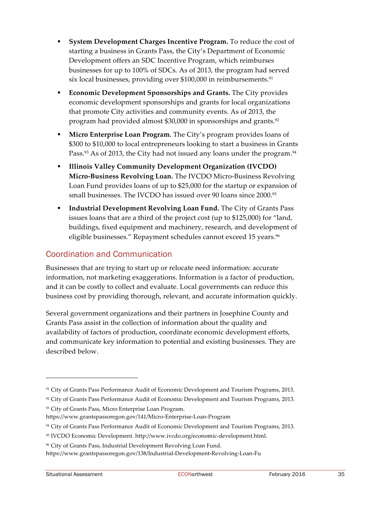- § **System Development Charges Incentive Program.** To reduce the cost of starting a business in Grants Pass, the City's Department of Economic Development offers an SDC Incentive Program, which reimburses businesses for up to 100% of SDCs. As of 2013, the program had served six local businesses, providing over \$100,000 in reimbursements.<sup>91</sup>
- **Economic Development Sponsorships and Grants.** The City provides economic development sponsorships and grants for local organizations that promote City activities and community events. As of 2013, the program had provided almost \$30,000 in sponsorships and grants.<sup>92</sup>
- § **Micro Enterprise Loan Program.** The City's program provides loans of \$300 to \$10,000 to local entrepreneurs looking to start a business in Grants Pass.<sup>93</sup> As of 2013, the City had not issued any loans under the program.<sup>94</sup>
- § **Illinois Valley Community Development Organization (IVCDO) Micro-Business Revolving Loan.** The IVCDO Micro-Business Revolving Loan Fund provides loans of up to \$25,000 for the startup or expansion of small businesses. The IVCDO has issued over 90 loans since 2000.95
- **Industrial Development Revolving Loan Fund.** The City of Grants Pass issues loans that are a third of the project cost (up to \$125,000) for "land, buildings, fixed equipment and machinery, research, and development of eligible businesses." Repayment schedules cannot exceed 15 years.<sup>96</sup>

### Coordination and Communication

Businesses that are trying to start up or relocate need information: accurate information, not marketing exaggerations. Information is a factor of production, and it can be costly to collect and evaluate. Local governments can reduce this business cost by providing thorough, relevant, and accurate information quickly.

Several government organizations and their partners in Josephine County and Grants Pass assist in the collection of information about the quality and availability of factors of production, coordinate economic development efforts, and communicate key information to potential and existing businesses. They are described below.

<sup>93</sup> City of Grants Pass, Micro Enterprise Loan Program.

<sup>91</sup> City of Grants Pass Performance Audit of Economic Development and Tourism Programs, 2013.

<sup>92</sup> City of Grants Pass Performance Audit of Economic Development and Tourism Programs, 2013.

https://www.grantspassoregon.gov/141/Micro-Enterprise-Loan-Program

<sup>94</sup> City of Grants Pass Performance Audit of Economic Development and Tourism Programs, 2013.

<sup>95</sup> IVCDO Economic Development. http://www.ivcdo.org/economic-development.html.

<sup>96</sup> City of Grants Pass, Industrial Development Revolving Loan Fund.

https://www.grantspassoregon.gov/138/Industrial-Development-Revolving-Loan-Fu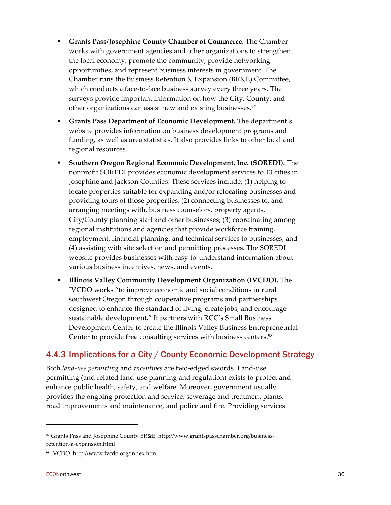- § **Grants Pass/Josephine County Chamber of Commerce.** The Chamber works with government agencies and other organizations to strengthen the local economy, promote the community, provide networking opportunities, and represent business interests in government. The Chamber runs the Business Retention & Expansion (BR&E) Committee, which conducts a face-to-face business survey every three years. The surveys provide important information on how the City, County, and other organizations can assist new and existing businesses.<sup>97</sup>
- § **Grants Pass Department of Economic Development.** The department's website provides information on business development programs and funding, as well as area statistics. It also provides links to other local and regional resources.
- § **Southern Oregon Regional Economic Development, Inc. (SOREDI).** The nonprofit SOREDI provides economic development services to 13 cities in Josephine and Jackson Counties. These services include: (1) helping to locate properties suitable for expanding and/or relocating businesses and providing tours of those properties; (2) connecting businesses to, and arranging meetings with, business counselors, property agents, City/County planning staff and other businesses; (3) coordinating among regional institutions and agencies that provide workforce training, employment, financial planning, and technical services to businesses; and (4) assisting with site selection and permitting processes. The SOREDI website provides businesses with easy-to-understand information about various business incentives, news, and events.
- § **Illinois Valley Community Development Organization (IVCDO).** The IVCDO works "to improve economic and social conditions in rural southwest Oregon through cooperative programs and partnerships designed to enhance the standard of living, create jobs, and encourage sustainable development." It partners with RCC's Small Business Development Center to create the Illinois Valley Business Entrepreneurial Center to provide free consulting services with business centers.<sup>98</sup>

### 4.4.3 Implications for a City / County Economic Development Strategy

Both *land-use permitting* and *incentives* are two-edged swords. Land-use permitting (and related land-use planning and regulation) exists to protect and enhance public health, safety, and welfare. Moreover, government usually provides the ongoing protection and service: sewerage and treatment plants, road improvements and maintenance, and police and fire. Providing services

<sup>97</sup> Grants Pass and Josephine County BR&E. http://www.grantspasschamber.org/businessretention-a-expansion.html

<sup>98</sup> IVCDO. http://www.ivcdo.org/index.html